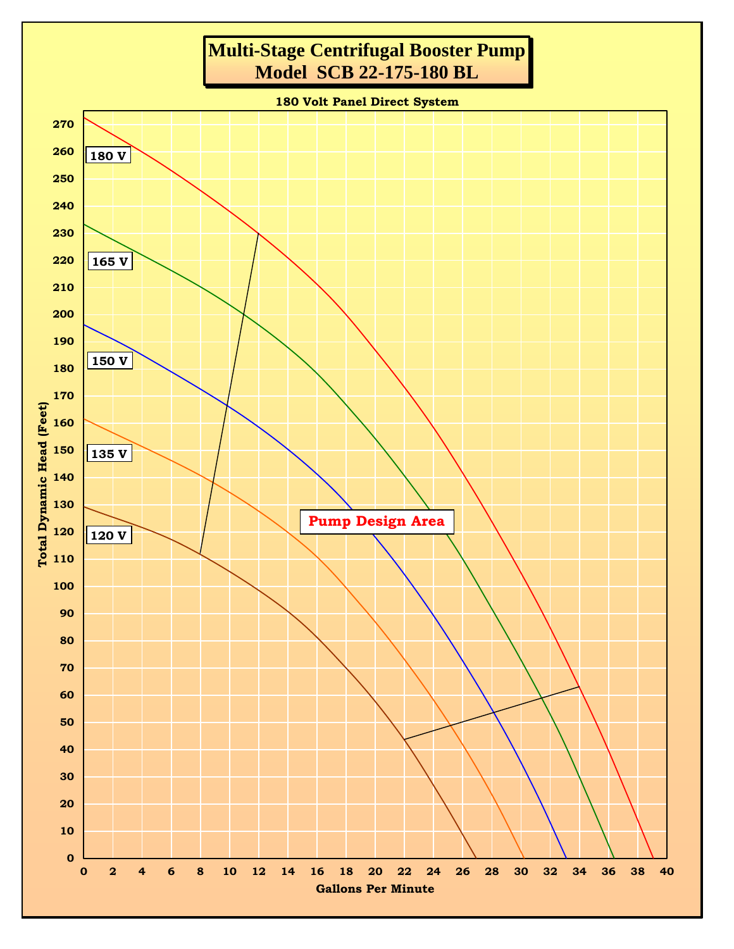